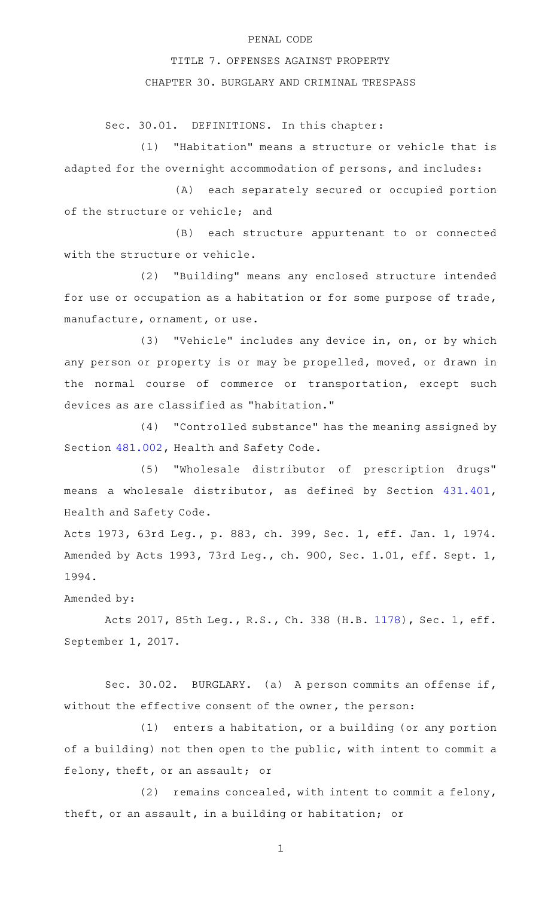## PENAL CODE

## TITLE 7. OFFENSES AGAINST PROPERTY

CHAPTER 30. BURGLARY AND CRIMINAL TRESPASS

Sec. 30.01. DEFINITIONS. In this chapter:

 $(1)$  "Habitation" means a structure or vehicle that is adapted for the overnight accommodation of persons, and includes:

(A) each separately secured or occupied portion of the structure or vehicle; and

(B) each structure appurtenant to or connected with the structure or vehicle.

(2) "Building" means any enclosed structure intended for use or occupation as a habitation or for some purpose of trade, manufacture, ornament, or use.

(3) "Vehicle" includes any device in, on, or by which any person or property is or may be propelled, moved, or drawn in the normal course of commerce or transportation, except such devices as are classified as "habitation."

(4) "Controlled substance" has the meaning assigned by Section [481.002,](http://www.statutes.legis.state.tx.us/GetStatute.aspx?Code=HS&Value=481.002) Health and Safety Code.

(5) "Wholesale distributor of prescription drugs" means a wholesale distributor, as defined by Section [431.401](http://www.statutes.legis.state.tx.us/GetStatute.aspx?Code=HS&Value=431.401), Health and Safety Code.

Acts 1973, 63rd Leg., p. 883, ch. 399, Sec. 1, eff. Jan. 1, 1974. Amended by Acts 1993, 73rd Leg., ch. 900, Sec. 1.01, eff. Sept. 1, 1994.

Amended by:

Acts 2017, 85th Leg., R.S., Ch. 338 (H.B. [1178](http://www.legis.state.tx.us/tlodocs/85R/billtext/html/HB01178F.HTM)), Sec. 1, eff. September 1, 2017.

Sec. 30.02. BURGLARY. (a) A person commits an offense if, without the effective consent of the owner, the person:

 $(1)$  enters a habitation, or a building (or any portion of a building) not then open to the public, with intent to commit a felony, theft, or an assault; or

 $(2)$  remains concealed, with intent to commit a felony, theft, or an assault, in a building or habitation; or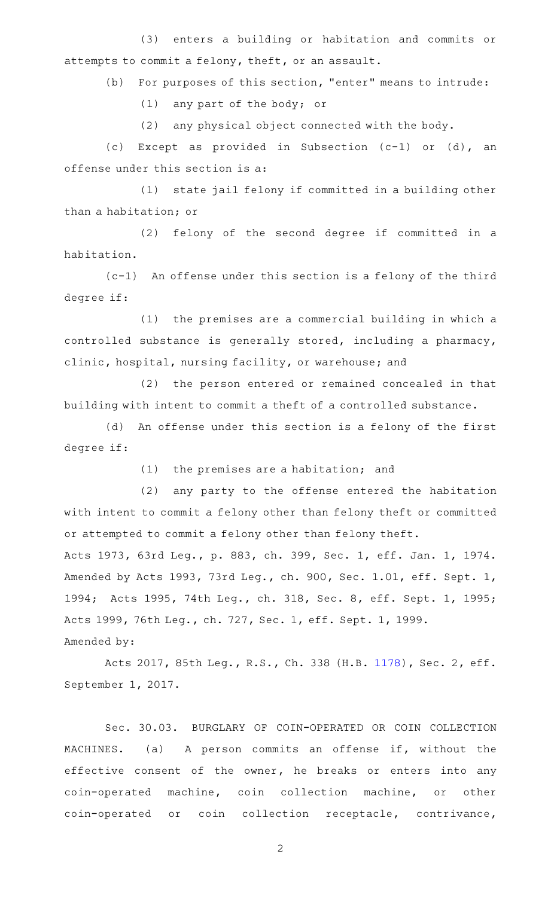(3) enters a building or habitation and commits or attempts to commit a felony, theft, or an assault.

(b) For purposes of this section, "enter" means to intrude:

 $(1)$  any part of the body; or

 $(2)$  any physical object connected with the body.

(c) Except as provided in Subsection  $(c-1)$  or  $(d)$ , an offense under this section is a:

(1) state jail felony if committed in a building other than a habitation; or

(2) felony of the second degree if committed in a habitation.

 $(c-1)$  An offense under this section is a felony of the third degree if:

(1) the premises are a commercial building in which a controlled substance is generally stored, including a pharmacy, clinic, hospital, nursing facility, or warehouse; and

(2) the person entered or remained concealed in that building with intent to commit a theft of a controlled substance.

(d) An offense under this section is a felony of the first degree if:

 $(1)$  the premises are a habitation; and

(2) any party to the offense entered the habitation with intent to commit a felony other than felony theft or committed or attempted to commit a felony other than felony theft. Acts 1973, 63rd Leg., p. 883, ch. 399, Sec. 1, eff. Jan. 1, 1974. Amended by Acts 1993, 73rd Leg., ch. 900, Sec. 1.01, eff. Sept. 1, 1994; Acts 1995, 74th Leg., ch. 318, Sec. 8, eff. Sept. 1, 1995; Acts 1999, 76th Leg., ch. 727, Sec. 1, eff. Sept. 1, 1999. Amended by:

Acts 2017, 85th Leg., R.S., Ch. 338 (H.B. [1178](http://www.legis.state.tx.us/tlodocs/85R/billtext/html/HB01178F.HTM)), Sec. 2, eff. September 1, 2017.

Sec. 30.03. BURGLARY OF COIN-OPERATED OR COIN COLLECTION MACHINES. (a) A person commits an offense if, without the effective consent of the owner, he breaks or enters into any coin-operated machine, coin collection machine, or other coin-operated or coin collection receptacle, contrivance,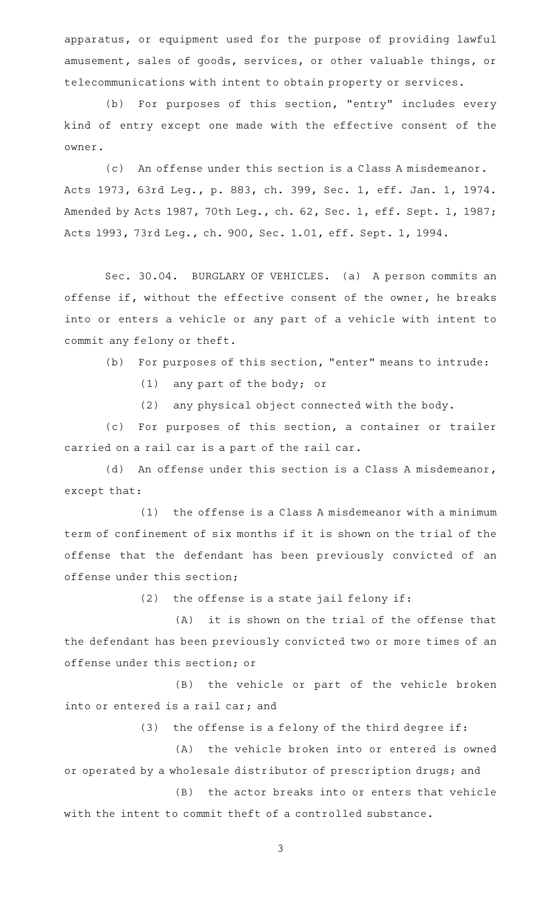apparatus, or equipment used for the purpose of providing lawful amusement, sales of goods, services, or other valuable things, or telecommunications with intent to obtain property or services.

(b) For purposes of this section, "entry" includes every kind of entry except one made with the effective consent of the owner.

(c) An offense under this section is a Class A misdemeanor. Acts 1973, 63rd Leg., p. 883, ch. 399, Sec. 1, eff. Jan. 1, 1974. Amended by Acts 1987, 70th Leg., ch. 62, Sec. 1, eff. Sept. 1, 1987; Acts 1993, 73rd Leg., ch. 900, Sec. 1.01, eff. Sept. 1, 1994.

Sec. 30.04. BURGLARY OF VEHICLES. (a) A person commits an offense if, without the effective consent of the owner, he breaks into or enters a vehicle or any part of a vehicle with intent to commit any felony or theft.

(b) For purposes of this section, "enter" means to intrude:

 $(1)$  any part of the body; or

 $(2)$  any physical object connected with the body.

(c) For purposes of this section, a container or trailer carried on a rail car is a part of the rail car.

(d) An offense under this section is a Class A misdemeanor, except that:

 $(1)$  the offense is a Class A misdemeanor with a minimum term of confinement of six months if it is shown on the trial of the offense that the defendant has been previously convicted of an offense under this section;

 $(2)$  the offense is a state jail felony if:

 $(A)$  it is shown on the trial of the offense that the defendant has been previously convicted two or more times of an offense under this section; or

(B) the vehicle or part of the vehicle broken into or entered is a rail car; and

 $(3)$  the offense is a felony of the third degree if:

(A) the vehicle broken into or entered is owned or operated by a wholesale distributor of prescription drugs; and  $(B)$  the actor breaks into or enters that vehicle

with the intent to commit theft of a controlled substance.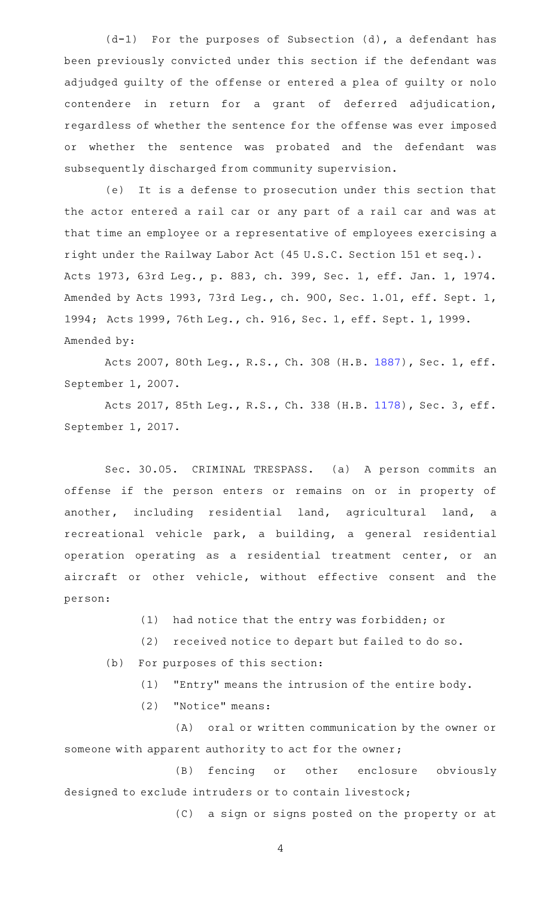$(d-1)$  For the purposes of Subsection  $(d)$ , a defendant has been previously convicted under this section if the defendant was adjudged guilty of the offense or entered a plea of guilty or nolo contendere in return for a grant of deferred adjudication, regardless of whether the sentence for the offense was ever imposed or whether the sentence was probated and the defendant was subsequently discharged from community supervision.

(e) It is a defense to prosecution under this section that the actor entered a rail car or any part of a rail car and was at that time an employee or a representative of employees exercising a right under the Railway Labor Act (45 U.S.C. Section 151 et seq.). Acts 1973, 63rd Leg., p. 883, ch. 399, Sec. 1, eff. Jan. 1, 1974. Amended by Acts 1993, 73rd Leg., ch. 900, Sec. 1.01, eff. Sept. 1, 1994; Acts 1999, 76th Leg., ch. 916, Sec. 1, eff. Sept. 1, 1999. Amended by:

Acts 2007, 80th Leg., R.S., Ch. 308 (H.B. [1887](http://www.legis.state.tx.us/tlodocs/80R/billtext/html/HB01887F.HTM)), Sec. 1, eff. September 1, 2007.

Acts 2017, 85th Leg., R.S., Ch. 338 (H.B. [1178](http://www.legis.state.tx.us/tlodocs/85R/billtext/html/HB01178F.HTM)), Sec. 3, eff. September 1, 2017.

Sec. 30.05. CRIMINAL TRESPASS. (a) A person commits an offense if the person enters or remains on or in property of another, including residential land, agricultural land, a recreational vehicle park, a building, a general residential operation operating as a residential treatment center, or an aircraft or other vehicle, without effective consent and the person:

- (1) had notice that the entry was forbidden; or
- (2) received notice to depart but failed to do so.
- (b) For purposes of this section:
	- $(1)$  "Entry" means the intrusion of the entire body.
	- (2) "Notice" means:

(A) oral or written communication by the owner or someone with apparent authority to act for the owner;

(B) fencing or other enclosure obviously designed to exclude intruders or to contain livestock;

(C) a sign or signs posted on the property or at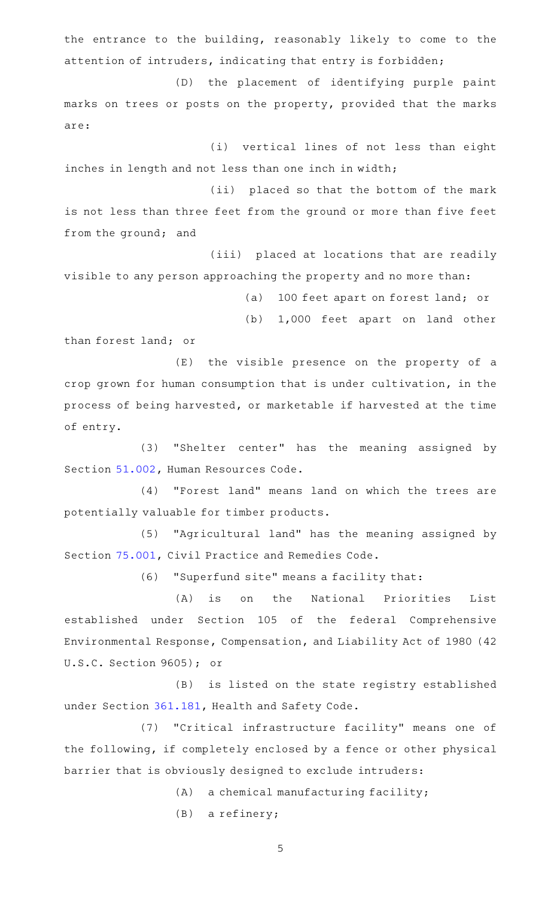the entrance to the building, reasonably likely to come to the attention of intruders, indicating that entry is forbidden;

(D) the placement of identifying purple paint marks on trees or posts on the property, provided that the marks are:

(i) vertical lines of not less than eight inches in length and not less than one inch in width;

(ii) placed so that the bottom of the mark is not less than three feet from the ground or more than five feet from the ground; and

(iii) placed at locations that are readily visible to any person approaching the property and no more than:

(a) 100 feet apart on forest land; or

(b) 1,000 feet apart on land other

than forest land; or

(E) the visible presence on the property of a crop grown for human consumption that is under cultivation, in the process of being harvested, or marketable if harvested at the time of entry.

(3) "Shelter center" has the meaning assigned by Section [51.002](http://www.statutes.legis.state.tx.us/GetStatute.aspx?Code=HR&Value=51.002), Human Resources Code.

(4) "Forest land" means land on which the trees are potentially valuable for timber products.

(5) "Agricultural land" has the meaning assigned by Section [75.001](http://www.statutes.legis.state.tx.us/GetStatute.aspx?Code=CP&Value=75.001), Civil Practice and Remedies Code.

(6) "Superfund site" means a facility that:

(A) is on the National Priorities List established under Section 105 of the federal Comprehensive Environmental Response, Compensation, and Liability Act of 1980 (42 U.S.C. Section 9605); or

(B) is listed on the state registry established under Section [361.181](http://www.statutes.legis.state.tx.us/GetStatute.aspx?Code=HS&Value=361.181), Health and Safety Code.

(7) "Critical infrastructure facility" means one of the following, if completely enclosed by a fence or other physical barrier that is obviously designed to exclude intruders:

 $(A)$  a chemical manufacturing facility;

 $(B)$  a refinery;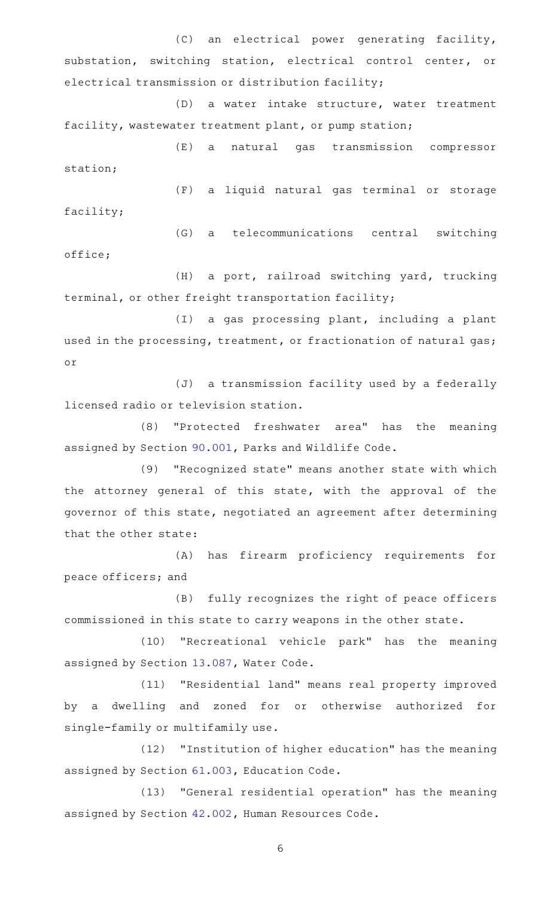(C) an electrical power generating facility, substation, switching station, electrical control center, or electrical transmission or distribution facility;

(D) a water intake structure, water treatment facility, wastewater treatment plant, or pump station;

(E) a natural gas transmission compressor station;

(F) a liquid natural gas terminal or storage facility;

(G) a telecommunications central switching office;

(H) a port, railroad switching yard, trucking terminal, or other freight transportation facility;

(I) a gas processing plant, including a plant used in the processing, treatment, or fractionation of natural gas; or

(J) a transmission facility used by a federally licensed radio or television station.

(8) "Protected freshwater area" has the meaning assigned by Section [90.001,](http://www.statutes.legis.state.tx.us/GetStatute.aspx?Code=PW&Value=90.001) Parks and Wildlife Code.

(9) "Recognized state" means another state with which the attorney general of this state, with the approval of the governor of this state, negotiated an agreement after determining that the other state:

(A) has firearm proficiency requirements for peace officers; and

(B) fully recognizes the right of peace officers commissioned in this state to carry weapons in the other state.

(10) "Recreational vehicle park" has the meaning assigned by Section [13.087,](http://www.statutes.legis.state.tx.us/GetStatute.aspx?Code=WA&Value=13.087) Water Code.

(11) "Residential land" means real property improved by a dwelling and zoned for or otherwise authorized for single-family or multifamily use.

(12) "Institution of higher education" has the meaning assigned by Section [61.003,](http://www.statutes.legis.state.tx.us/GetStatute.aspx?Code=ED&Value=61.003) Education Code.

(13) "General residential operation" has the meaning assigned by Section [42.002,](http://www.statutes.legis.state.tx.us/GetStatute.aspx?Code=HR&Value=42.002) Human Resources Code.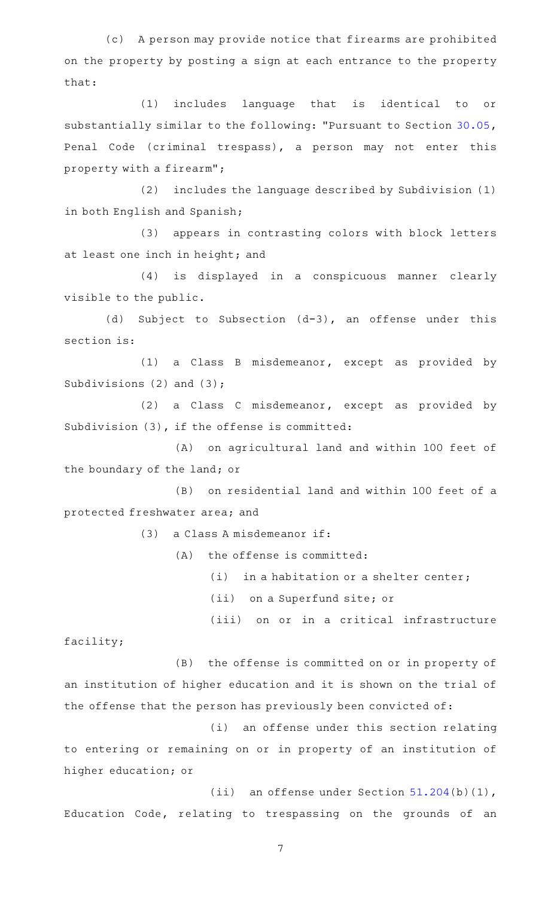(c) A person may provide notice that firearms are prohibited on the property by posting a sign at each entrance to the property that:

(1) includes language that is identical to or substantially similar to the following: "Pursuant to Section [30.05](http://www.statutes.legis.state.tx.us/GetStatute.aspx?Code=PE&Value=30.05), Penal Code (criminal trespass), a person may not enter this property with a firearm";

(2) includes the language described by Subdivision (1) in both English and Spanish;

(3) appears in contrasting colors with block letters at least one inch in height; and

(4) is displayed in a conspicuous manner clearly visible to the public.

(d) Subject to Subsection  $(d-3)$ , an offense under this section is:

 $(1)$  a Class B misdemeanor, except as provided by Subdivisions (2) and (3);

 $(2)$  a Class C misdemeanor, except as provided by Subdivision (3), if the offense is committed:

(A) on agricultural land and within 100 feet of the boundary of the land; or

(B) on residential land and within 100 feet of a protected freshwater area; and

 $(3)$  a Class A misdemeanor if:

 $(A)$  the offense is committed:

 $(i)$  in a habitation or a shelter center;

(ii) on a Superfund site; or

(iii) on or in a critical infrastructure

facility;

(B) the offense is committed on or in property of an institution of higher education and it is shown on the trial of the offense that the person has previously been convicted of:

(i) an offense under this section relating to entering or remaining on or in property of an institution of higher education; or

(ii) an offense under Section  $51.204(b)(1)$  $51.204(b)(1)$ , Education Code, relating to trespassing on the grounds of an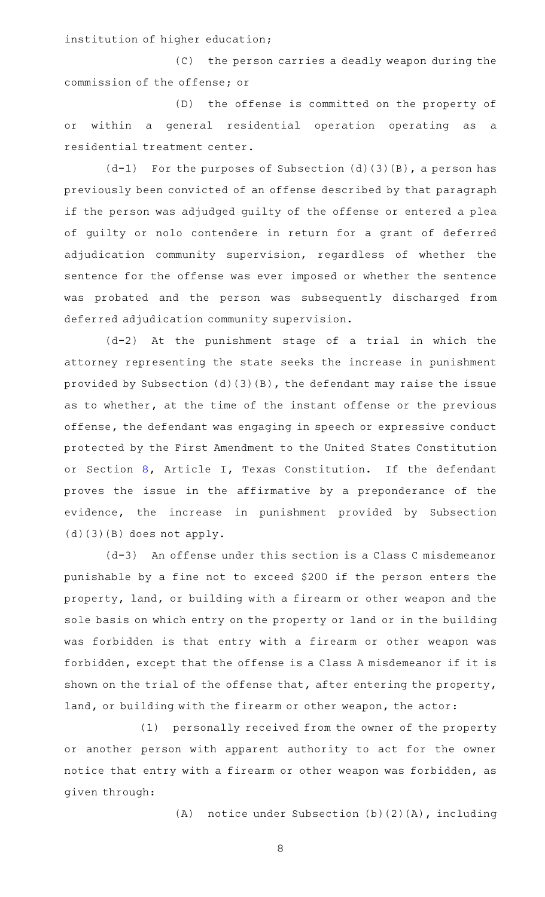institution of higher education;

(C) the person carries a deadly weapon during the commission of the offense; or

(D) the offense is committed on the property of or within a general residential operation operating as a residential treatment center.

 $(d-1)$  For the purposes of Subsection  $(d)(3)(B)$ , a person has previously been convicted of an offense described by that paragraph if the person was adjudged guilty of the offense or entered a plea of guilty or nolo contendere in return for a grant of deferred adjudication community supervision, regardless of whether the sentence for the offense was ever imposed or whether the sentence was probated and the person was subsequently discharged from deferred adjudication community supervision.

 $(d-2)$  At the punishment stage of a trial in which the attorney representing the state seeks the increase in punishment provided by Subsection (d)(3)(B), the defendant may raise the issue as to whether, at the time of the instant offense or the previous offense, the defendant was engaging in speech or expressive conduct protected by the First Amendment to the United States Constitution or Section [8](http://www.statutes.legis.state.tx.us/GetStatute.aspx?Code=CN&Value=1.8), Article I, Texas Constitution. If the defendant proves the issue in the affirmative by a preponderance of the evidence, the increase in punishment provided by Subsection (d)(3)(B) does not apply.

 $(d-3)$  An offense under this section is a Class C misdemeanor punishable by a fine not to exceed \$200 if the person enters the property, land, or building with a firearm or other weapon and the sole basis on which entry on the property or land or in the building was forbidden is that entry with a firearm or other weapon was forbidden, except that the offense is a Class A misdemeanor if it is shown on the trial of the offense that, after entering the property, land, or building with the firearm or other weapon, the actor:

(1) personally received from the owner of the property or another person with apparent authority to act for the owner notice that entry with a firearm or other weapon was forbidden, as given through:

(A) notice under Subsection  $(b)(2)(A)$ , including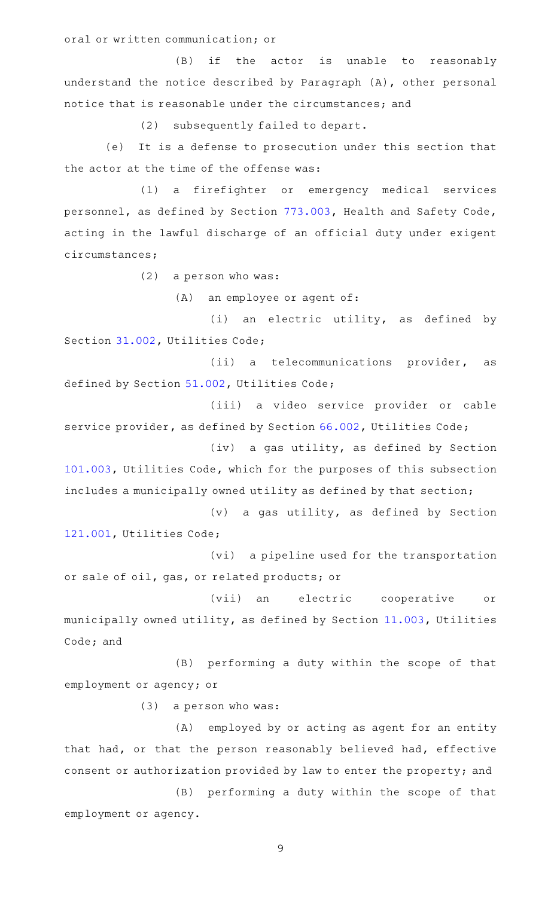oral or written communication; or

(B) if the actor is unable to reasonably understand the notice described by Paragraph (A), other personal notice that is reasonable under the circumstances; and

(2) subsequently failed to depart.

(e) It is a defense to prosecution under this section that the actor at the time of the offense was:

(1) a firefighter or emergency medical services personnel, as defined by Section [773.003](http://www.statutes.legis.state.tx.us/GetStatute.aspx?Code=HS&Value=773.003), Health and Safety Code, acting in the lawful discharge of an official duty under exigent circumstances;

 $(2)$  a person who was:

(A) an employee or agent of:

(i) an electric utility, as defined by Section [31.002](http://www.statutes.legis.state.tx.us/GetStatute.aspx?Code=UT&Value=31.002), Utilities Code;

(ii) a telecommunications provider, as defined by Section [51.002](http://www.statutes.legis.state.tx.us/GetStatute.aspx?Code=UT&Value=51.002), Utilities Code;

(iii) a video service provider or cable service provider, as defined by Section [66.002](http://www.statutes.legis.state.tx.us/GetStatute.aspx?Code=UT&Value=66.002), Utilities Code;

(iv) a gas utility, as defined by Section [101.003,](http://www.statutes.legis.state.tx.us/GetStatute.aspx?Code=UT&Value=101.003) Utilities Code, which for the purposes of this subsection includes a municipally owned utility as defined by that section;

 $(v)$  a gas utility, as defined by Section [121.001,](http://www.statutes.legis.state.tx.us/GetStatute.aspx?Code=UT&Value=121.001) Utilities Code;

(vi) a pipeline used for the transportation or sale of oil, gas, or related products; or

(vii) an electric cooperative or municipally owned utility, as defined by Section [11.003,](http://www.statutes.legis.state.tx.us/GetStatute.aspx?Code=UT&Value=11.003) Utilities Code; and

(B) performing a duty within the scope of that employment or agency; or

 $(3)$  a person who was:

(A) employed by or acting as agent for an entity that had, or that the person reasonably believed had, effective consent or authorization provided by law to enter the property; and

(B) performing a duty within the scope of that employment or agency.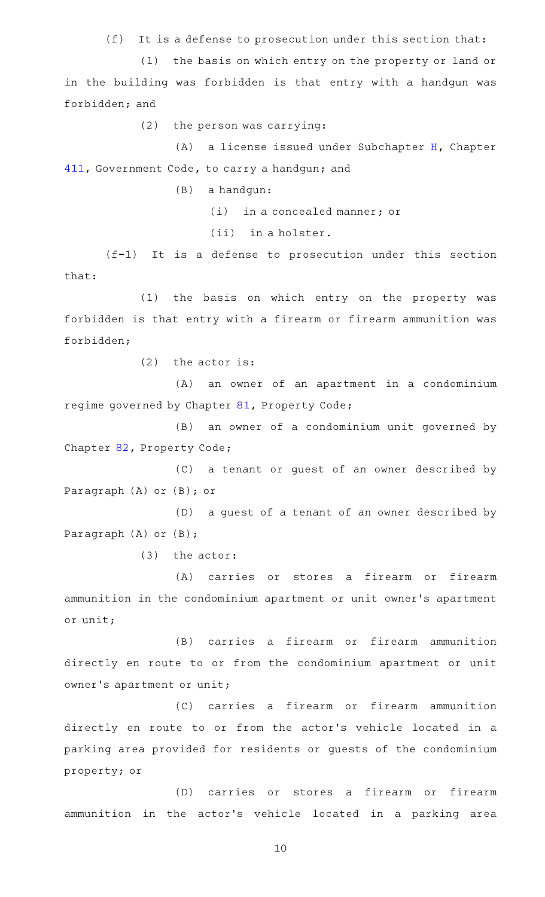$(f)$  It is a defense to prosecution under this section that:

(1) the basis on which entry on the property or land or in the building was forbidden is that entry with a handgun was forbidden; and

 $(2)$  the person was carrying:

 $(A)$  a license issued under Subchapter [H](http://www.statutes.legis.state.tx.us/GetStatute.aspx?Code=GV&Value=411.171), Chapter [411,](http://www.statutes.legis.state.tx.us/GetStatute.aspx?Code=GV&Value=411) Government Code, to carry a handgun; and

(B) a handgun:

 $(i)$  in a concealed manner; or

 $(iii)$  in a holster.

 $(f-1)$  It is a defense to prosecution under this section that:

(1) the basis on which entry on the property was forbidden is that entry with a firearm or firearm ammunition was forbidden;

 $(2)$  the actor is:

(A) an owner of an apartment in a condominium regime governed by Chapter [81,](http://www.statutes.legis.state.tx.us/GetStatute.aspx?Code=PR&Value=81) Property Code;

(B) an owner of a condominium unit governed by Chapter [82,](http://www.statutes.legis.state.tx.us/GetStatute.aspx?Code=PR&Value=82) Property Code;

(C) a tenant or guest of an owner described by Paragraph (A) or (B); or

(D) a guest of a tenant of an owner described by Paragraph (A) or (B);

 $(3)$  the actor:

(A) carries or stores a firearm or firearm ammunition in the condominium apartment or unit owner 's apartment or unit;

(B) carries a firearm or firearm ammunition directly en route to or from the condominium apartment or unit owner 's apartment or unit;

(C) carries a firearm or firearm ammunition directly en route to or from the actor 's vehicle located in a parking area provided for residents or guests of the condominium property; or

(D) carries or stores a firearm or firearm ammunition in the actor 's vehicle located in a parking area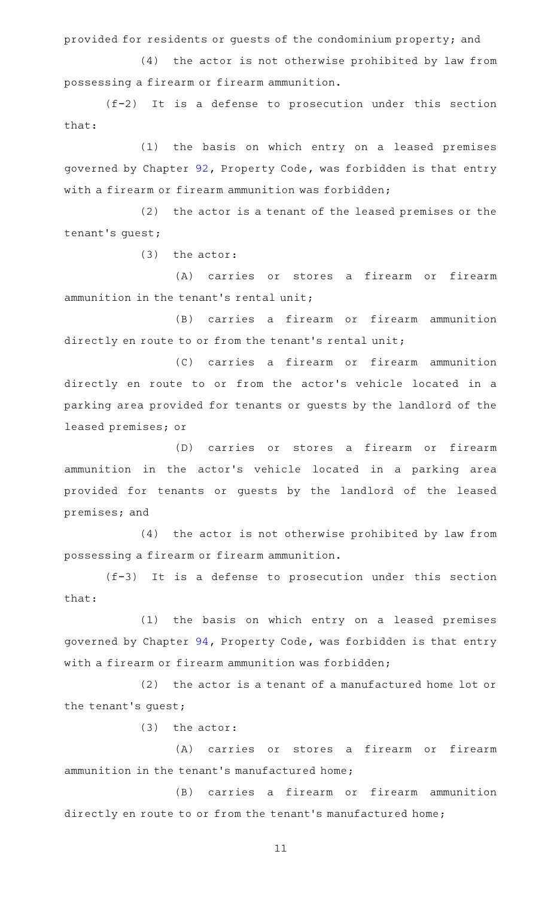provided for residents or guests of the condominium property; and

(4) the actor is not otherwise prohibited by law from possessing a firearm or firearm ammunition.

 $(f-2)$  It is a defense to prosecution under this section that:

(1) the basis on which entry on a leased premises governed by Chapter [92](http://www.statutes.legis.state.tx.us/GetStatute.aspx?Code=PR&Value=92), Property Code, was forbidden is that entry with a firearm or firearm ammunition was forbidden;

 $(2)$  the actor is a tenant of the leased premises or the tenant 's guest;

 $(3)$  the actor:

(A) carries or stores a firearm or firearm ammunition in the tenant 's rental unit;

(B) carries a firearm or firearm ammunition directly en route to or from the tenant's rental unit;

(C) carries a firearm or firearm ammunition directly en route to or from the actor 's vehicle located in a parking area provided for tenants or guests by the landlord of the leased premises; or

(D) carries or stores a firearm or firearm ammunition in the actor 's vehicle located in a parking area provided for tenants or guests by the landlord of the leased premises; and

(4) the actor is not otherwise prohibited by law from possessing a firearm or firearm ammunition.

 $(f-3)$  It is a defense to prosecution under this section that:

(1) the basis on which entry on a leased premises governed by Chapter [94](http://www.statutes.legis.state.tx.us/GetStatute.aspx?Code=PR&Value=94), Property Code, was forbidden is that entry with a firearm or firearm ammunition was forbidden;

 $(2)$  the actor is a tenant of a manufactured home lot or the tenant 's guest;

 $(3)$  the actor:

(A) carries or stores a firearm or firearm ammunition in the tenant 's manufactured home;

(B) carries a firearm or firearm ammunition directly en route to or from the tenant's manufactured home;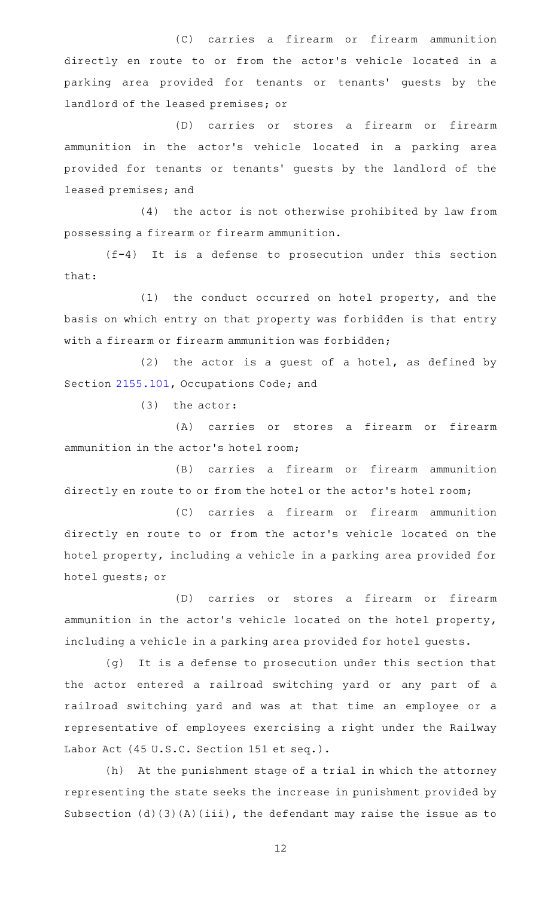(C) carries a firearm or firearm ammunition directly en route to or from the actor 's vehicle located in a parking area provided for tenants or tenants' guests by the landlord of the leased premises; or

(D) carries or stores a firearm or firearm ammunition in the actor 's vehicle located in a parking area provided for tenants or tenants' guests by the landlord of the leased premises; and

 $(4)$  the actor is not otherwise prohibited by law from possessing a firearm or firearm ammunition.

 $(f-4)$  It is a defense to prosecution under this section that:

(1) the conduct occurred on hotel property, and the basis on which entry on that property was forbidden is that entry with a firearm or firearm ammunition was forbidden;

 $(2)$  the actor is a guest of a hotel, as defined by Section [2155.101](http://www.statutes.legis.state.tx.us/GetStatute.aspx?Code=OC&Value=2155.101), Occupations Code; and

 $(3)$  the actor:

(A) carries or stores a firearm or firearm ammunition in the actor 's hotel room;

(B) carries a firearm or firearm ammunition directly en route to or from the hotel or the actor 's hotel room;

(C) carries a firearm or firearm ammunition directly en route to or from the actor 's vehicle located on the hotel property, including a vehicle in a parking area provided for hotel guests; or

(D) carries or stores a firearm or firearm ammunition in the actor 's vehicle located on the hotel property, including a vehicle in a parking area provided for hotel guests.

(g) It is a defense to prosecution under this section that the actor entered a railroad switching yard or any part of a railroad switching yard and was at that time an employee or a representative of employees exercising a right under the Railway Labor Act (45 U.S.C. Section 151 et seq.).

(h) At the punishment stage of a trial in which the attorney representing the state seeks the increase in punishment provided by Subsection (d)(3)(A)(iii), the defendant may raise the issue as to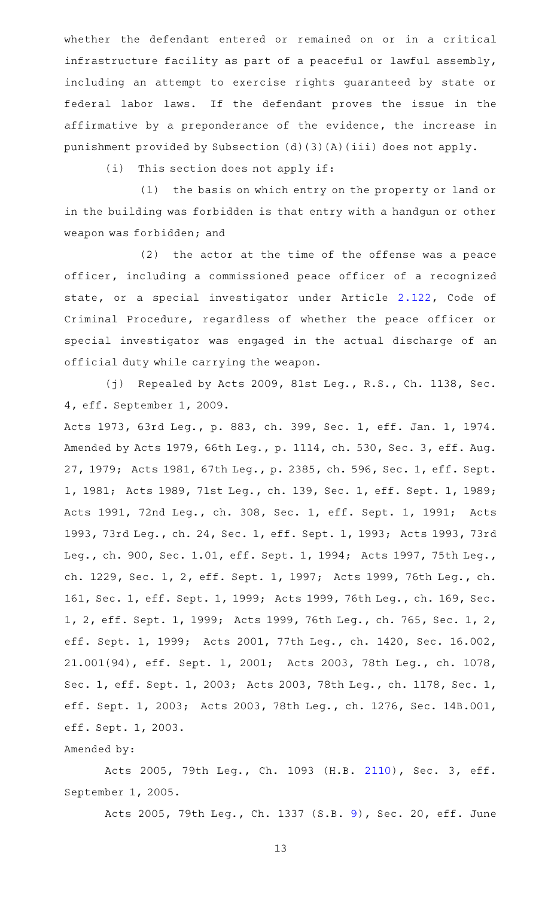whether the defendant entered or remained on or in a critical infrastructure facility as part of a peaceful or lawful assembly, including an attempt to exercise rights guaranteed by state or federal labor laws. If the defendant proves the issue in the affirmative by a preponderance of the evidence, the increase in punishment provided by Subsection (d)(3)(A)(iii) does not apply.

 $(i)$  This section does not apply if:

(1) the basis on which entry on the property or land or in the building was forbidden is that entry with a handgun or other weapon was forbidden; and

(2) the actor at the time of the offense was a peace officer, including a commissioned peace officer of a recognized state, or a special investigator under Article [2.122](http://www.statutes.legis.state.tx.us/GetStatute.aspx?Code=CR&Value=2.122), Code of Criminal Procedure, regardless of whether the peace officer or special investigator was engaged in the actual discharge of an official duty while carrying the weapon.

(j) Repealed by Acts 2009, 81st Leg., R.S., Ch. 1138, Sec. 4, eff. September 1, 2009.

Acts 1973, 63rd Leg., p. 883, ch. 399, Sec. 1, eff. Jan. 1, 1974. Amended by Acts 1979, 66th Leg., p. 1114, ch. 530, Sec. 3, eff. Aug. 27, 1979; Acts 1981, 67th Leg., p. 2385, ch. 596, Sec. 1, eff. Sept. 1, 1981; Acts 1989, 71st Leg., ch. 139, Sec. 1, eff. Sept. 1, 1989; Acts 1991, 72nd Leg., ch. 308, Sec. 1, eff. Sept. 1, 1991; Acts 1993, 73rd Leg., ch. 24, Sec. 1, eff. Sept. 1, 1993; Acts 1993, 73rd Leg., ch. 900, Sec. 1.01, eff. Sept. 1, 1994; Acts 1997, 75th Leg., ch. 1229, Sec. 1, 2, eff. Sept. 1, 1997; Acts 1999, 76th Leg., ch. 161, Sec. 1, eff. Sept. 1, 1999; Acts 1999, 76th Leg., ch. 169, Sec. 1, 2, eff. Sept. 1, 1999; Acts 1999, 76th Leg., ch. 765, Sec. 1, 2, eff. Sept. 1, 1999; Acts 2001, 77th Leg., ch. 1420, Sec. 16.002, 21.001(94), eff. Sept. 1, 2001; Acts 2003, 78th Leg., ch. 1078, Sec. 1, eff. Sept. 1, 2003; Acts 2003, 78th Leg., ch. 1178, Sec. 1, eff. Sept. 1, 2003; Acts 2003, 78th Leg., ch. 1276, Sec. 14B.001, eff. Sept. 1, 2003.

## Amended by:

Acts 2005, 79th Leg., Ch. 1093 (H.B. [2110](http://www.legis.state.tx.us/tlodocs/79R/billtext/html/HB02110F.HTM)), Sec. 3, eff. September 1, 2005.

Acts 2005, 79th Leg., Ch. 1337 (S.B. [9](http://www.legis.state.tx.us/tlodocs/79R/billtext/html/SB00009F.HTM)), Sec. 20, eff. June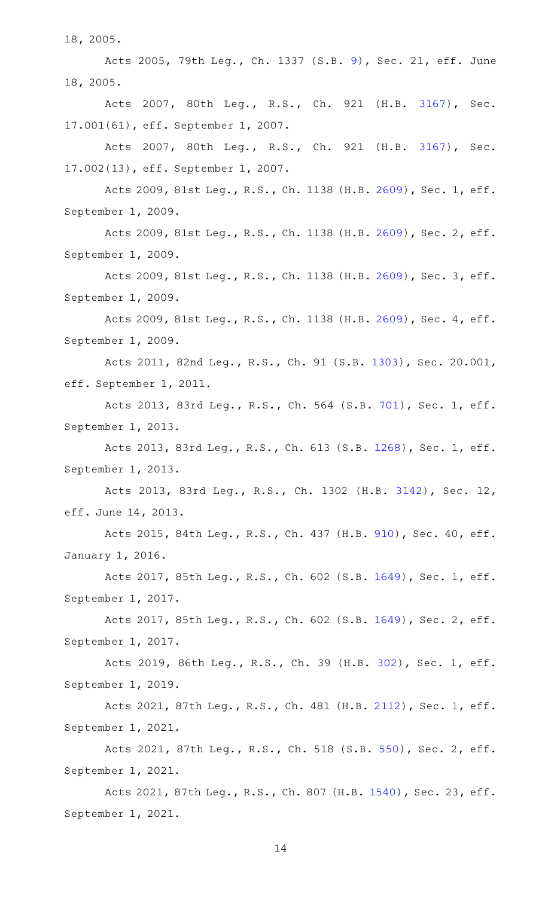18, 2005.

Acts 2005, 79th Leg., Ch. 1337 (S.B. [9](http://www.legis.state.tx.us/tlodocs/79R/billtext/html/SB00009F.HTM)), Sec. 21, eff. June 18, 2005.

Acts 2007, 80th Leg., R.S., Ch. 921 (H.B. [3167\)](http://www.legis.state.tx.us/tlodocs/80R/billtext/html/HB03167F.HTM), Sec. 17.001(61), eff. September 1, 2007.

Acts 2007, 80th Leg., R.S., Ch. 921 (H.B. [3167\)](http://www.legis.state.tx.us/tlodocs/80R/billtext/html/HB03167F.HTM), Sec. 17.002(13), eff. September 1, 2007.

Acts 2009, 81st Leg., R.S., Ch. 1138 (H.B. [2609](http://www.legis.state.tx.us/tlodocs/81R/billtext/html/HB02609F.HTM)), Sec. 1, eff. September 1, 2009.

Acts 2009, 81st Leg., R.S., Ch. 1138 (H.B. [2609](http://www.legis.state.tx.us/tlodocs/81R/billtext/html/HB02609F.HTM)), Sec. 2, eff. September 1, 2009.

Acts 2009, 81st Leg., R.S., Ch. 1138 (H.B. [2609](http://www.legis.state.tx.us/tlodocs/81R/billtext/html/HB02609F.HTM)), Sec. 3, eff. September 1, 2009.

Acts 2009, 81st Leg., R.S., Ch. 1138 (H.B. [2609](http://www.legis.state.tx.us/tlodocs/81R/billtext/html/HB02609F.HTM)), Sec. 4, eff. September 1, 2009.

Acts 2011, 82nd Leg., R.S., Ch. 91 (S.B. [1303](http://www.legis.state.tx.us/tlodocs/82R/billtext/html/SB01303F.HTM)), Sec. 20.001, eff. September 1, 2011.

Acts 2013, 83rd Leg., R.S., Ch. 564 (S.B. [701](http://www.legis.state.tx.us/tlodocs/83R/billtext/html/SB00701F.HTM)), Sec. 1, eff. September 1, 2013.

Acts 2013, 83rd Leg., R.S., Ch. 613 (S.B. [1268](http://www.legis.state.tx.us/tlodocs/83R/billtext/html/SB01268F.HTM)), Sec. 1, eff. September 1, 2013.

Acts 2013, 83rd Leg., R.S., Ch. 1302 (H.B. [3142](http://www.legis.state.tx.us/tlodocs/83R/billtext/html/HB03142F.HTM)), Sec. 12, eff. June 14, 2013.

Acts 2015, 84th Leg., R.S., Ch. 437 (H.B. [910\)](http://www.legis.state.tx.us/tlodocs/84R/billtext/html/HB00910F.HTM), Sec. 40, eff. January 1, 2016.

Acts 2017, 85th Leg., R.S., Ch. 602 (S.B. [1649](http://www.legis.state.tx.us/tlodocs/85R/billtext/html/SB01649F.HTM)), Sec. 1, eff. September 1, 2017.

Acts 2017, 85th Leg., R.S., Ch. 602 (S.B. [1649](http://www.legis.state.tx.us/tlodocs/85R/billtext/html/SB01649F.HTM)), Sec. 2, eff. September 1, 2017.

Acts 2019, 86th Leg., R.S., Ch. 39 (H.B. [302](http://www.legis.state.tx.us/tlodocs/86R/billtext/html/HB00302F.HTM)), Sec. 1, eff. September 1, 2019.

Acts 2021, 87th Leg., R.S., Ch. 481 (H.B. [2112](http://www.legis.state.tx.us/tlodocs/87R/billtext/html/HB02112F.HTM)), Sec. 1, eff. September 1, 2021.

Acts 2021, 87th Leg., R.S., Ch. 518 (S.B. [550](http://www.legis.state.tx.us/tlodocs/87R/billtext/html/SB00550F.HTM)), Sec. 2, eff. September 1, 2021.

Acts 2021, 87th Leg., R.S., Ch. 807 (H.B. [1540\)](http://www.legis.state.tx.us/tlodocs/87R/billtext/html/HB01540F.HTM), Sec. 23, eff. September 1, 2021.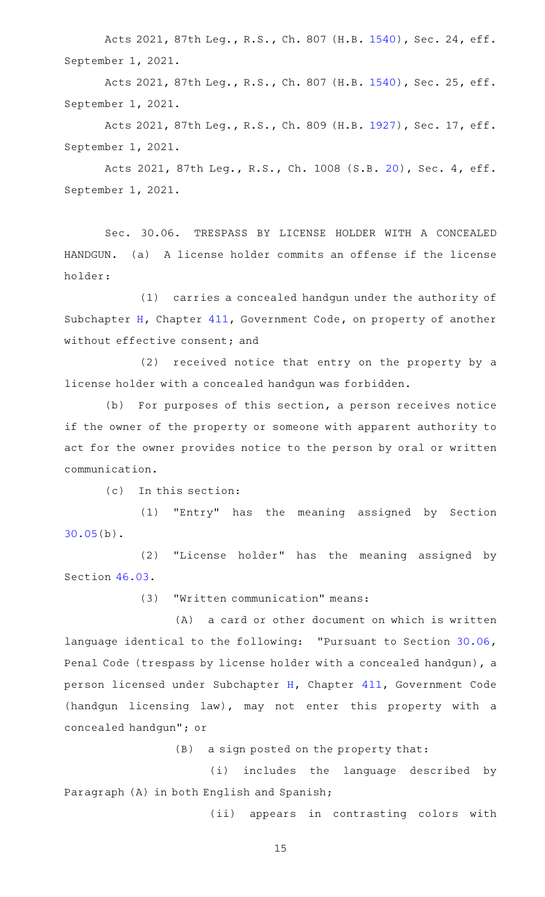Acts 2021, 87th Leg., R.S., Ch. 807 (H.B. [1540\)](http://www.legis.state.tx.us/tlodocs/87R/billtext/html/HB01540F.HTM), Sec. 24, eff. September 1, 2021.

Acts 2021, 87th Leg., R.S., Ch. 807 (H.B. [1540\)](http://www.legis.state.tx.us/tlodocs/87R/billtext/html/HB01540F.HTM), Sec. 25, eff. September 1, 2021.

Acts 2021, 87th Leg., R.S., Ch. 809 (H.B. [1927\)](http://www.legis.state.tx.us/tlodocs/87R/billtext/html/HB01927F.HTM), Sec. 17, eff. September 1, 2021.

Acts 2021, 87th Leg., R.S., Ch. 1008 (S.B. [20](http://www.legis.state.tx.us/tlodocs/87R/billtext/html/SB00020F.HTM)), Sec. 4, eff. September 1, 2021.

Sec. 30.06. TRESPASS BY LICENSE HOLDER WITH A CONCEALED HANDGUN. (a) A license holder commits an offense if the license holder:

(1) carries a concealed handgun under the authority of Subchapter [H](http://www.statutes.legis.state.tx.us/GetStatute.aspx?Code=GV&Value=411.171), Chapter [411,](http://www.statutes.legis.state.tx.us/GetStatute.aspx?Code=GV&Value=411) Government Code, on property of another without effective consent; and

(2) received notice that entry on the property by a license holder with a concealed handgun was forbidden.

 $(b)$  For purposes of this section, a person receives notice if the owner of the property or someone with apparent authority to act for the owner provides notice to the person by oral or written communication.

 $(c)$  In this section:

(1) "Entry" has the meaning assigned by Section [30.05\(](http://www.statutes.legis.state.tx.us/GetStatute.aspx?Code=PE&Value=30.05)b).

(2) "License holder" has the meaning assigned by Section [46.03.](http://www.statutes.legis.state.tx.us/GetStatute.aspx?Code=PE&Value=46.03)

(3) "Written communication" means:

(A) a card or other document on which is written language identical to the following: "Pursuant to Section [30.06](http://www.statutes.legis.state.tx.us/GetStatute.aspx?Code=PE&Value=30.06), Penal Code (trespass by license holder with a concealed handgun), a person licensed under Subchapter [H](http://www.statutes.legis.state.tx.us/GetStatute.aspx?Code=GV&Value=411.171), Chapter [411,](http://www.statutes.legis.state.tx.us/GetStatute.aspx?Code=GV&Value=411) Government Code (handgun licensing law), may not enter this property with a concealed handgun"; or

 $(B)$  a sign posted on the property that:

(i) includes the language described by Paragraph (A) in both English and Spanish;

(ii) appears in contrasting colors with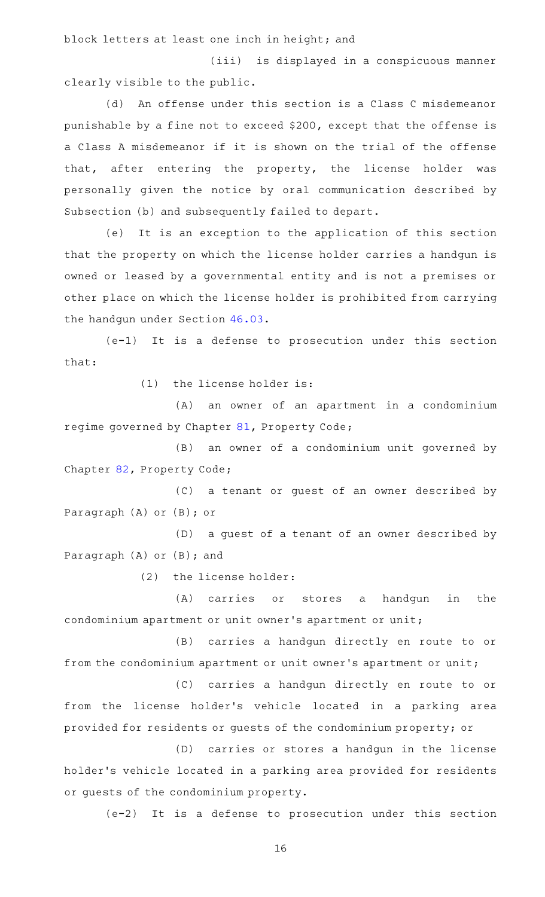block letters at least one inch in height; and

(iii) is displayed in a conspicuous manner clearly visible to the public.

(d) An offense under this section is a Class C misdemeanor punishable by a fine not to exceed \$200, except that the offense is a Class A misdemeanor if it is shown on the trial of the offense that, after entering the property, the license holder was personally given the notice by oral communication described by Subsection (b) and subsequently failed to depart.

(e) It is an exception to the application of this section that the property on which the license holder carries a handgun is owned or leased by a governmental entity and is not a premises or other place on which the license holder is prohibited from carrying the handgun under Section [46.03.](http://www.statutes.legis.state.tx.us/GetStatute.aspx?Code=PE&Value=46.03)

(e-1) It is a defense to prosecution under this section that:

 $(1)$  the license holder is:

(A) an owner of an apartment in a condominium regime governed by Chapter [81,](http://www.statutes.legis.state.tx.us/GetStatute.aspx?Code=PR&Value=81) Property Code;

(B) an owner of a condominium unit governed by Chapter [82,](http://www.statutes.legis.state.tx.us/GetStatute.aspx?Code=PR&Value=82) Property Code;

(C) a tenant or guest of an owner described by Paragraph (A) or (B); or

(D) a guest of a tenant of an owner described by Paragraph (A) or (B); and

 $(2)$  the license holder:

(A) carries or stores a handgun in the condominium apartment or unit owner 's apartment or unit;

(B) carries a handgun directly en route to or from the condominium apartment or unit owner's apartment or unit;

(C) carries a handgun directly en route to or from the license holder's vehicle located in a parking area provided for residents or guests of the condominium property; or

(D) carries or stores a handgun in the license holder 's vehicle located in a parking area provided for residents or guests of the condominium property.

(e-2) It is a defense to prosecution under this section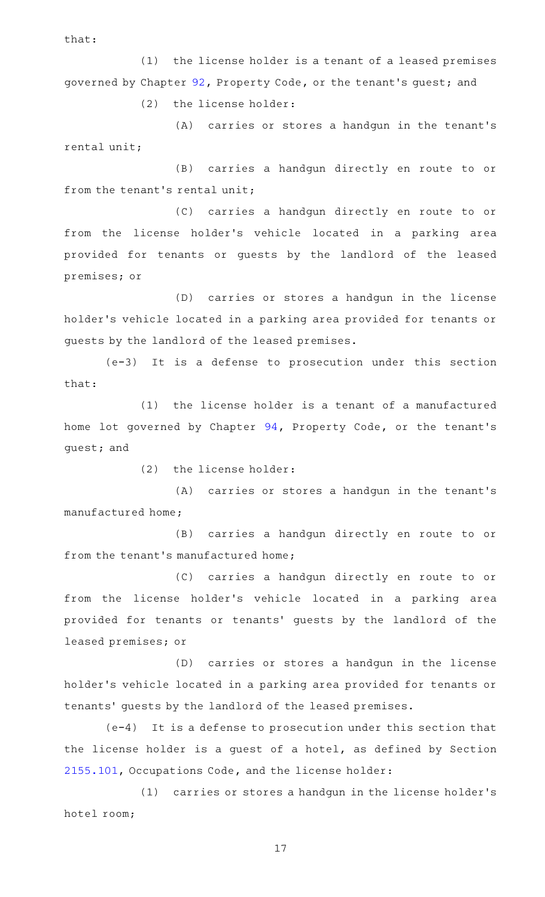that:

(1) the license holder is a tenant of a leased premises governed by Chapter [92,](http://www.statutes.legis.state.tx.us/GetStatute.aspx?Code=PR&Value=92) Property Code, or the tenant 's guest; and

(2) the license holder:

(A) carries or stores a handgun in the tenant's rental unit;

(B) carries a handgun directly en route to or from the tenant's rental unit;

(C) carries a handgun directly en route to or from the license holder's vehicle located in a parking area provided for tenants or guests by the landlord of the leased premises; or

(D) carries or stores a handgun in the license holder 's vehicle located in a parking area provided for tenants or guests by the landlord of the leased premises.

(e-3) It is a defense to prosecution under this section that:

(1) the license holder is a tenant of a manufactured home lot governed by Chapter [94,](http://www.statutes.legis.state.tx.us/GetStatute.aspx?Code=PR&Value=94) Property Code, or the tenant's guest; and

 $(2)$  the license holder:

(A) carries or stores a handgun in the tenant's manufactured home;

(B) carries a handgun directly en route to or from the tenant 's manufactured home;

(C) carries a handgun directly en route to or from the license holder's vehicle located in a parking area provided for tenants or tenants' guests by the landlord of the leased premises; or

(D) carries or stores a handgun in the license holder 's vehicle located in a parking area provided for tenants or tenants' guests by the landlord of the leased premises.

 $(e-4)$  It is a defense to prosecution under this section that the license holder is a guest of a hotel, as defined by Section [2155.101](http://www.statutes.legis.state.tx.us/GetStatute.aspx?Code=OC&Value=2155.101), Occupations Code, and the license holder:

(1) carries or stores a handgun in the license holder's hotel room;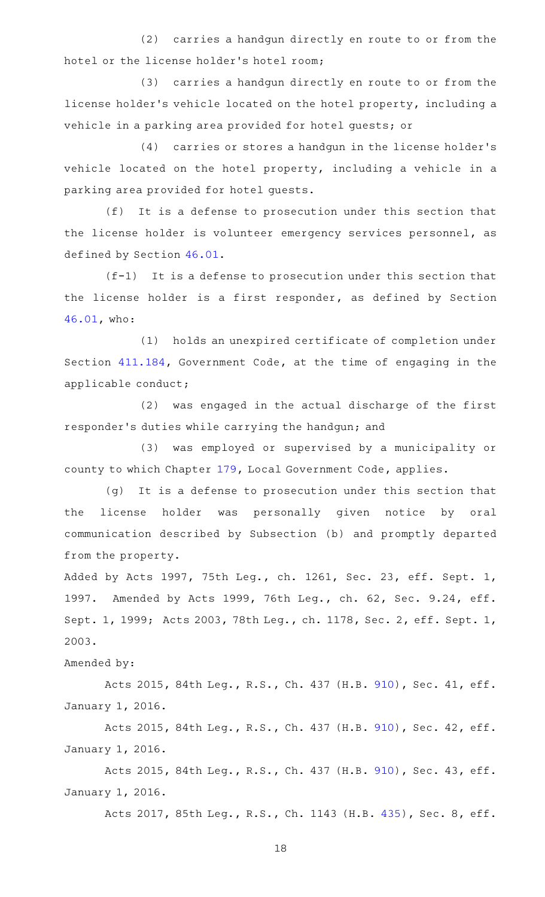(2) carries a handgun directly en route to or from the hotel or the license holder 's hotel room;

(3) carries a handgun directly en route to or from the license holder 's vehicle located on the hotel property, including a vehicle in a parking area provided for hotel guests; or

(4) carries or stores a handgun in the license holder's vehicle located on the hotel property, including a vehicle in a parking area provided for hotel guests.

 $(f)$  It is a defense to prosecution under this section that the license holder is volunteer emergency services personnel, as defined by Section [46.01.](http://www.statutes.legis.state.tx.us/GetStatute.aspx?Code=PE&Value=46.01)

 $(f-1)$  It is a defense to prosecution under this section that the license holder is a first responder, as defined by Section [46.01,](http://www.statutes.legis.state.tx.us/GetStatute.aspx?Code=PE&Value=46.01) who:

(1) holds an unexpired certificate of completion under Section [411.184](http://www.statutes.legis.state.tx.us/GetStatute.aspx?Code=GV&Value=411.184), Government Code, at the time of engaging in the applicable conduct;

(2) was engaged in the actual discharge of the first responder 's duties while carrying the handgun; and

(3) was employed or supervised by a municipality or county to which Chapter [179,](http://www.statutes.legis.state.tx.us/GetStatute.aspx?Code=LG&Value=179) Local Government Code, applies.

(g) It is a defense to prosecution under this section that the license holder was personally given notice by oral communication described by Subsection (b) and promptly departed from the property.

Added by Acts 1997, 75th Leg., ch. 1261, Sec. 23, eff. Sept. 1, 1997. Amended by Acts 1999, 76th Leg., ch. 62, Sec. 9.24, eff. Sept. 1, 1999; Acts 2003, 78th Leg., ch. 1178, Sec. 2, eff. Sept. 1, 2003.

Amended by:

Acts 2015, 84th Leg., R.S., Ch. 437 (H.B. [910\)](http://www.legis.state.tx.us/tlodocs/84R/billtext/html/HB00910F.HTM), Sec. 41, eff. January 1, 2016.

Acts 2015, 84th Leg., R.S., Ch. 437 (H.B. [910\)](http://www.legis.state.tx.us/tlodocs/84R/billtext/html/HB00910F.HTM), Sec. 42, eff. January 1, 2016.

Acts 2015, 84th Leg., R.S., Ch. 437 (H.B. [910\)](http://www.legis.state.tx.us/tlodocs/84R/billtext/html/HB00910F.HTM), Sec. 43, eff. January 1, 2016.

Acts 2017, 85th Leg., R.S., Ch. 1143 (H.B. [435](http://www.legis.state.tx.us/tlodocs/85R/billtext/html/HB00435F.HTM)), Sec. 8, eff.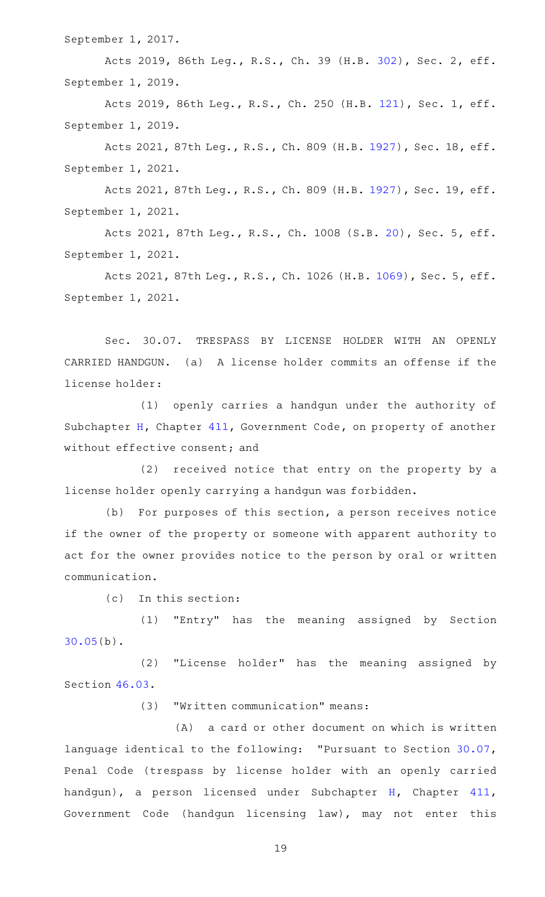September 1, 2017.

Acts 2019, 86th Leg., R.S., Ch. 39 (H.B. [302](http://www.legis.state.tx.us/tlodocs/86R/billtext/html/HB00302F.HTM)), Sec. 2, eff. September 1, 2019.

Acts 2019, 86th Leg., R.S., Ch. 250 (H.B. [121](http://www.legis.state.tx.us/tlodocs/86R/billtext/html/HB00121F.HTM)), Sec. 1, eff. September 1, 2019.

Acts 2021, 87th Leg., R.S., Ch. 809 (H.B. [1927\)](http://www.legis.state.tx.us/tlodocs/87R/billtext/html/HB01927F.HTM), Sec. 18, eff. September 1, 2021.

Acts 2021, 87th Leg., R.S., Ch. 809 (H.B. [1927\)](http://www.legis.state.tx.us/tlodocs/87R/billtext/html/HB01927F.HTM), Sec. 19, eff. September 1, 2021.

Acts 2021, 87th Leg., R.S., Ch. 1008 (S.B. [20](http://www.legis.state.tx.us/tlodocs/87R/billtext/html/SB00020F.HTM)), Sec. 5, eff. September 1, 2021.

Acts 2021, 87th Leg., R.S., Ch. 1026 (H.B. [1069](http://www.legis.state.tx.us/tlodocs/87R/billtext/html/HB01069F.HTM)), Sec. 5, eff. September 1, 2021.

Sec. 30.07. TRESPASS BY LICENSE HOLDER WITH AN OPENLY CARRIED HANDGUN. (a) A license holder commits an offense if the license holder:

(1) openly carries a handgun under the authority of Subchapter [H](http://www.statutes.legis.state.tx.us/GetStatute.aspx?Code=GV&Value=411.171), Chapter [411,](http://www.statutes.legis.state.tx.us/GetStatute.aspx?Code=GV&Value=411) Government Code, on property of another without effective consent; and

(2) received notice that entry on the property by a license holder openly carrying a handgun was forbidden.

(b) For purposes of this section, a person receives notice if the owner of the property or someone with apparent authority to act for the owner provides notice to the person by oral or written communication.

 $(c)$  In this section:

(1) "Entry" has the meaning assigned by Section [30.05\(](http://www.statutes.legis.state.tx.us/GetStatute.aspx?Code=PE&Value=30.05)b).

(2) "License holder" has the meaning assigned by Section [46.03.](http://www.statutes.legis.state.tx.us/GetStatute.aspx?Code=PE&Value=46.03)

(3) "Written communication" means:

 $(A)$  a card or other document on which is written language identical to the following: "Pursuant to Section [30.07](http://www.statutes.legis.state.tx.us/GetStatute.aspx?Code=PE&Value=30.07), Penal Code (trespass by license holder with an openly carried handgun), a person licensed under Subchapter [H](http://www.statutes.legis.state.tx.us/GetStatute.aspx?Code=GV&Value=411.171), Chapter [411](http://www.statutes.legis.state.tx.us/GetStatute.aspx?Code=GV&Value=411), Government Code (handgun licensing law), may not enter this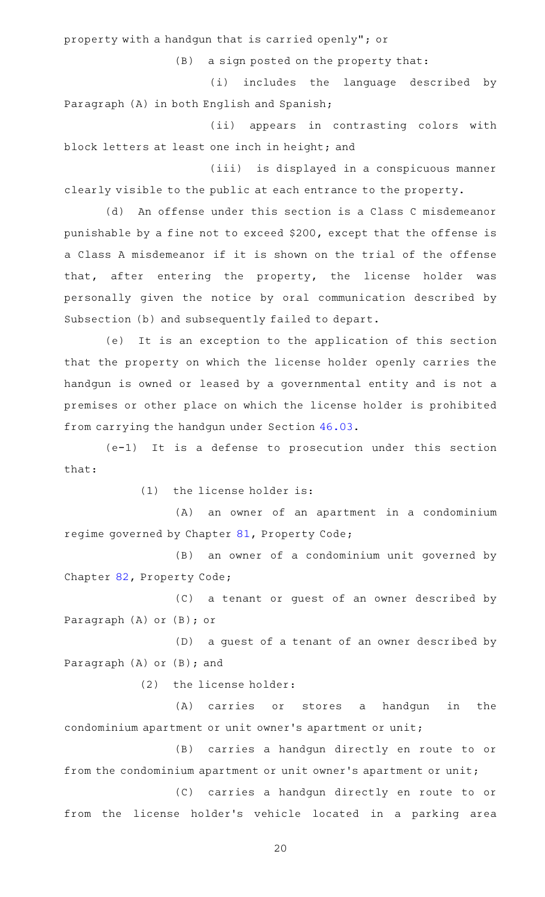property with a handgun that is carried openly"; or

 $(B)$  a sign posted on the property that:

(i) includes the language described by Paragraph (A) in both English and Spanish;

(ii) appears in contrasting colors with block letters at least one inch in height; and

(iii) is displayed in a conspicuous manner clearly visible to the public at each entrance to the property.

(d) An offense under this section is a Class C misdemeanor punishable by a fine not to exceed \$200, except that the offense is a Class A misdemeanor if it is shown on the trial of the offense that, after entering the property, the license holder was personally given the notice by oral communication described by Subsection (b) and subsequently failed to depart.

(e) It is an exception to the application of this section that the property on which the license holder openly carries the handgun is owned or leased by a governmental entity and is not a premises or other place on which the license holder is prohibited from carrying the handgun under Section [46.03.](http://www.statutes.legis.state.tx.us/GetStatute.aspx?Code=PE&Value=46.03)

 $(e-1)$  It is a defense to prosecution under this section that:

 $(1)$  the license holder is:

(A) an owner of an apartment in a condominium regime governed by Chapter [81,](http://www.statutes.legis.state.tx.us/GetStatute.aspx?Code=PR&Value=81) Property Code;

(B) an owner of a condominium unit governed by Chapter [82,](http://www.statutes.legis.state.tx.us/GetStatute.aspx?Code=PR&Value=82) Property Code;

(C) a tenant or guest of an owner described by Paragraph (A) or (B); or

(D) a guest of a tenant of an owner described by Paragraph (A) or (B); and

(2) the license holder:

(A) carries or stores a handgun in the condominium apartment or unit owner 's apartment or unit;

(B) carries a handgun directly en route to or from the condominium apartment or unit owner's apartment or unit;

(C) carries a handgun directly en route to or from the license holder's vehicle located in a parking area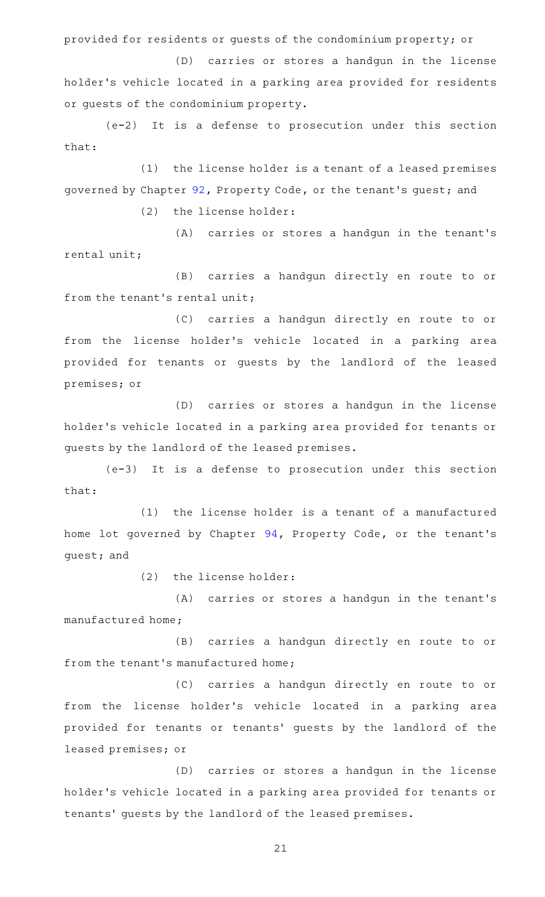provided for residents or guests of the condominium property; or

(D) carries or stores a handgun in the license holder 's vehicle located in a parking area provided for residents or guests of the condominium property.

 $(e-2)$  It is a defense to prosecution under this section that:

(1) the license holder is a tenant of a leased premises governed by Chapter [92,](http://www.statutes.legis.state.tx.us/GetStatute.aspx?Code=PR&Value=92) Property Code, or the tenant 's guest; and

(2) the license holder:

(A) carries or stores a handgun in the tenant's rental unit;

(B) carries a handgun directly en route to or from the tenant 's rental unit;

(C) carries a handgun directly en route to or from the license holder's vehicle located in a parking area provided for tenants or guests by the landlord of the leased premises; or

(D) carries or stores a handgun in the license holder 's vehicle located in a parking area provided for tenants or guests by the landlord of the leased premises.

(e-3) It is a defense to prosecution under this section that:

(1) the license holder is a tenant of a manufactured home lot governed by Chapter [94,](http://www.statutes.legis.state.tx.us/GetStatute.aspx?Code=PR&Value=94) Property Code, or the tenant 's guest; and

(2) the license holder:

(A) carries or stores a handgun in the tenant's manufactured home;

(B) carries a handgun directly en route to or from the tenant 's manufactured home;

(C) carries a handgun directly en route to or from the license holder's vehicle located in a parking area provided for tenants or tenants' guests by the landlord of the leased premises; or

(D) carries or stores a handgun in the license holder 's vehicle located in a parking area provided for tenants or tenants' guests by the landlord of the leased premises.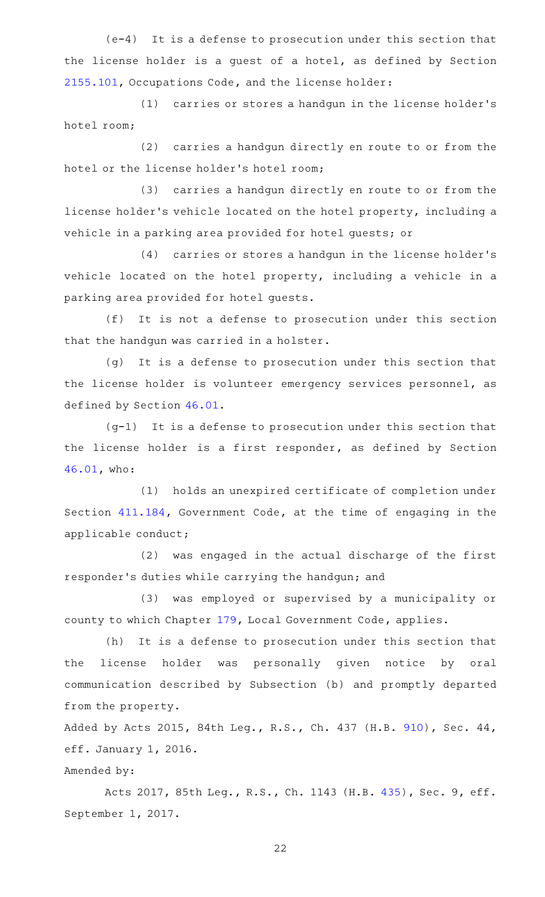$(e-4)$  It is a defense to prosecution under this section that the license holder is a guest of a hotel, as defined by Section [2155.101](http://www.statutes.legis.state.tx.us/GetStatute.aspx?Code=OC&Value=2155.101), Occupations Code, and the license holder:

(1) carries or stores a handgun in the license holder's hotel room;

(2) carries a handgun directly en route to or from the hotel or the license holder 's hotel room;

(3) carries a handgun directly en route to or from the license holder 's vehicle located on the hotel property, including a vehicle in a parking area provided for hotel guests; or

(4) carries or stores a handgun in the license holder's vehicle located on the hotel property, including a vehicle in a parking area provided for hotel guests.

(f) It is not a defense to prosecution under this section that the handgun was carried in a holster.

(g) It is a defense to prosecution under this section that the license holder is volunteer emergency services personnel, as defined by Section [46.01.](http://www.statutes.legis.state.tx.us/GetStatute.aspx?Code=PE&Value=46.01)

 $(g-1)$  It is a defense to prosecution under this section that the license holder is a first responder, as defined by Section [46.01,](http://www.statutes.legis.state.tx.us/GetStatute.aspx?Code=PE&Value=46.01) who:

(1) holds an unexpired certificate of completion under Section [411.184](http://www.statutes.legis.state.tx.us/GetStatute.aspx?Code=GV&Value=411.184), Government Code, at the time of engaging in the applicable conduct;

(2) was engaged in the actual discharge of the first responder 's duties while carrying the handgun; and

(3) was employed or supervised by a municipality or county to which Chapter [179,](http://www.statutes.legis.state.tx.us/GetStatute.aspx?Code=LG&Value=179) Local Government Code, applies.

(h) It is a defense to prosecution under this section that the license holder was personally given notice by oral communication described by Subsection (b) and promptly departed from the property.

Added by Acts 2015, 84th Leg., R.S., Ch. 437 (H.B. [910\)](http://www.legis.state.tx.us/tlodocs/84R/billtext/html/HB00910F.HTM), Sec. 44, eff. January 1, 2016.

Amended by:

Acts 2017, 85th Leg., R.S., Ch. 1143 (H.B. [435](http://www.legis.state.tx.us/tlodocs/85R/billtext/html/HB00435F.HTM)), Sec. 9, eff. September 1, 2017.